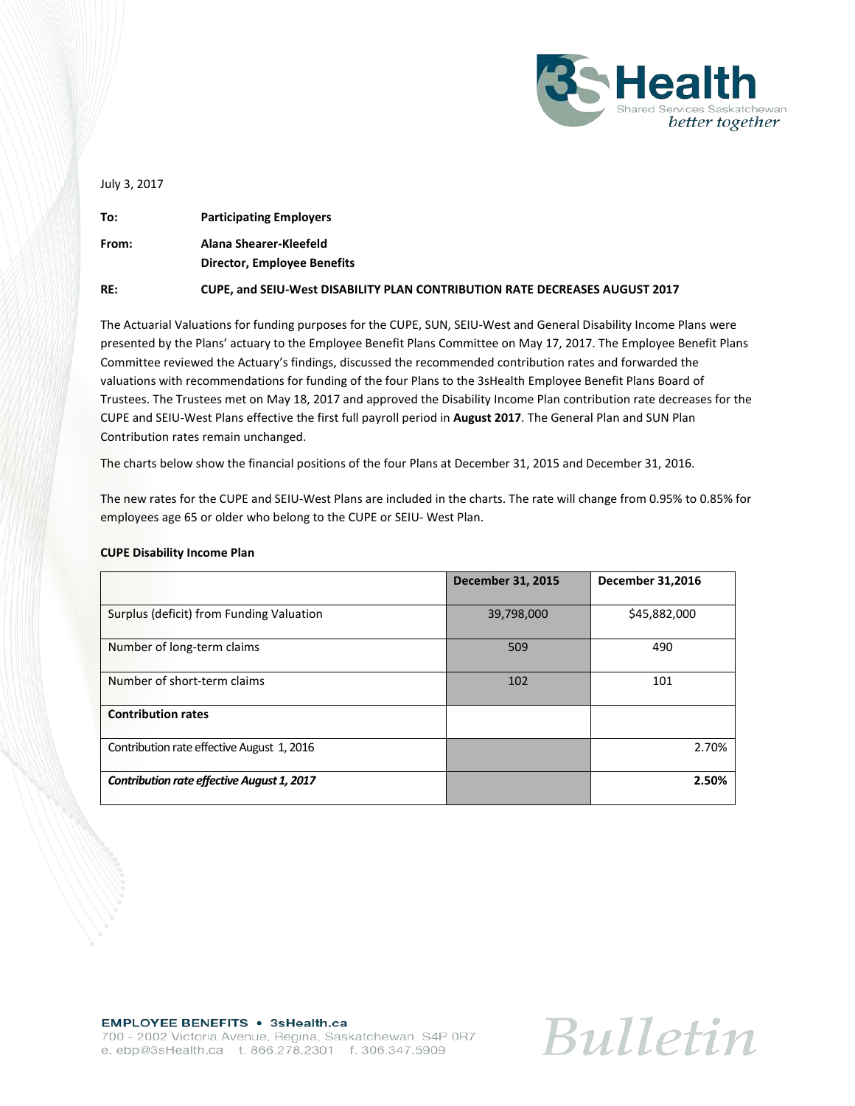

July 3, 2017

| To:   | <b>Participating Employers</b>                                              |
|-------|-----------------------------------------------------------------------------|
| From: | Alana Shearer-Kleefeld<br><b>Director, Employee Benefits</b>                |
| RE:   | CUPE, and SEIU-West DISABILITY PLAN CONTRIBUTION RATE DECREASES AUGUST 2017 |

The Actuarial Valuations for funding purposes for the CUPE, SUN, SEIU-West and General Disability Income Plans were presented by the Plans' actuary to the Employee Benefit Plans Committee on May 17, 2017. The Employee Benefit Plans Committee reviewed the Actuary's findings, discussed the recommended contribution rates and forwarded the valuations with recommendations for funding of the four Plans to the 3sHealth Employee Benefit Plans Board of Trustees. The Trustees met on May 18, 2017 and approved the Disability Income Plan contribution rate decreases for the CUPE and SEIU-West Plans effective the first full payroll period in **August 2017**. The General Plan and SUN Plan Contribution rates remain unchanged.

The charts below show the financial positions of the four Plans at December 31, 2015 and December 31, 2016.

The new rates for the CUPE and SEIU-West Plans are included in the charts. The rate will change from 0.95% to 0.85% for employees age 65 or older who belong to the CUPE or SEIU- West Plan.

| <b>CUPE Disability Income Plan</b> |  |
|------------------------------------|--|
|------------------------------------|--|

|                                            | <b>December 31, 2015</b> | <b>December 31,2016</b> |
|--------------------------------------------|--------------------------|-------------------------|
| Surplus (deficit) from Funding Valuation   | 39,798,000               | \$45,882,000            |
| Number of long-term claims                 | 509                      | 490                     |
| Number of short-term claims                | 102                      | 101                     |
| <b>Contribution rates</b>                  |                          |                         |
| Contribution rate effective August 1, 2016 |                          | 2.70%                   |
| Contribution rate effective August 1, 2017 |                          | 2.50%                   |